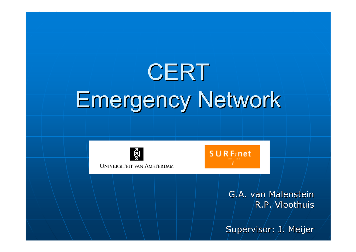# **CERT** Emergency Network



**UNIVERSITEIT VAN AMSTERDAM** 



G.A. van Malenstein G.A. van Malenstein R.P. Vloothuis

Supervisor: J. Meijer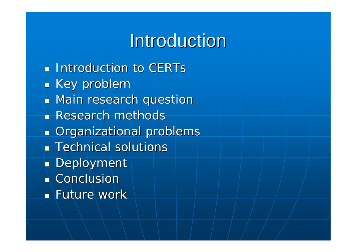### **Introduction**

 $\blacksquare$  Introduction to CERTs  $\overline{\phantom{0}}$  $\blacksquare$  Key problem  $\blacksquare$  Main research question **Research methods**  $\overline{\phantom{0}}$  $\blacksquare$  Organizational problems  $\blacksquare$  Technical solutions  $\mathbb{R}^2$  $\hbox{\small\bf =}$  Deployment  $\blacksquare$  Conclusion  $\blacksquare$  Future work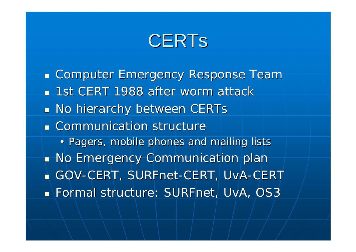### **CERTS**

 $\mathbb{Z}$ **Examputer Emergency Response Team** ■ 1st CERT 1988 after worm attack  $\overline{\phantom{0}}$  $\blacksquare$  No hierarchy between CERTs **EXCOMMUNICATION Structure** • Pagers, mobile phones and mailing lists  $\mathbb{R}^2$  $\textcolor{red}{\bullet}$  No Emergency Communication plan  $\blacksquare$  GOV-CERT, SURFnet-CERT, UvA-CERT **Reference: SURFnet, UvA, OS3**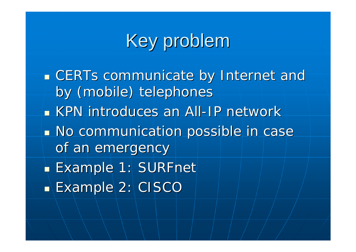### Key problem

**ECERTs communicate by Internet and Internet** by (mobile) telephones KPN introduces an All-IP network **No communication possible in case in case** of an emergency  $\blacksquare$  Example 1: SURFnet  $\blacksquare$  Example 2: CISCO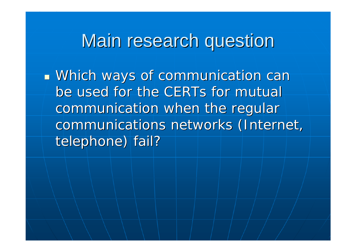### Main research question

 *Which ways of communication can Which ways of communication can be used for the CERTs for mutual be used for the CERTs for mutual communication when the regular communication when the regular communications networks (Internet, communications networks (Internet, telephone) fail? telephone) fail?*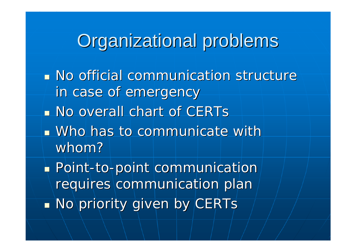### Organizational problems

- **No official communication structure** in case of emergency
- **No overall chart of CERTs**
- $\blacksquare$  Who has to communicate with whom?
- $\blacksquare$  Point-to-point communication requires communication plan  $\blacksquare$  No priority given by CERTs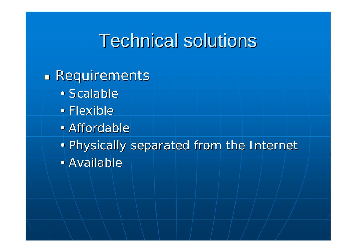### **Technical solutions**

#### $\blacksquare$  Requirements

- Scalable
- Flexible
- Affordable
- Physically separated from the Internet
- Available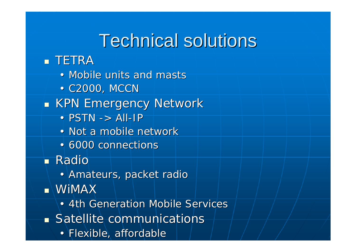### **Technical solutions**

### **.** TETRA

- Mobile units and masts
- C2000, MCCN
- $\overline{\phantom{0}}$  $\blacksquare$  KPN Emergency Network
	- $PSTN \rightarrow All-IP$
	- Not a mobile network
	- 6000 connections
- Radio
	- Amateurs, packet radio
- $\blacksquare$  WiMAX
	- 4th Generation Mobile Services
- **Satellite communications** 
	- Flexible, affordable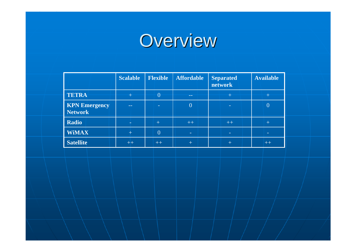## Overview

|                                        | <b>Scalable</b> | <b>Flexible</b> | <b>Affordable</b> | <b>Separated</b><br>network | <b>Available</b> |
|----------------------------------------|-----------------|-----------------|-------------------|-----------------------------|------------------|
| <b>TETRA</b>                           |                 | 0               | --                |                             |                  |
| <b>KPN Emergency</b><br><b>Network</b> | $- -$           |                 | $\overline{0}$    |                             | 0                |
| <b>Radio</b>                           |                 | $+$             | $++$              | $++$                        | $^+$             |
| <b>WiMAX</b>                           | $\pm$           | $\overline{0}$  | $\sim$            | -                           |                  |
| <b>Satellite</b>                       | $++$            | $++$            | $^+$              |                             | $++$             |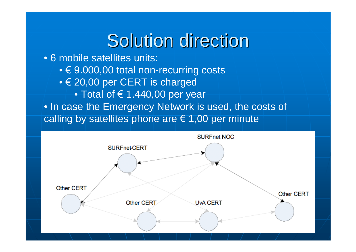### Solution direction

• 6 mobile satellites units:

- $\bullet \in$  9.000,00 total non-recurring costs
- $\bullet$  € 20,00 per CERT is charged
	- $\bullet$  Total of  $\in$  1.440,00 per year

• In case the Emergency Network is used, the costs of calling by satellites phone are  $\in$  1,00 per minute

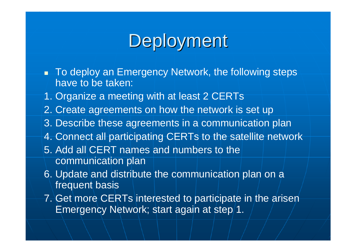### Deployment

- To deploy an Emergency Network, the following steps have to be taken:
- 1. Organize a meeting with at least 2 CERTs
- 2. Create agreements on how the network is set up
- 3. Describe these agreements in a communication plan
- 4. Connect all participating CERTs to the satellite network
- 5. Add all CERT names and numbers to the communication plan
- 6. Update and distribute the communication plan on a frequent basis
- 7. Get more CERTs interested to participate in the arisen Emergency Network; start again at step 1.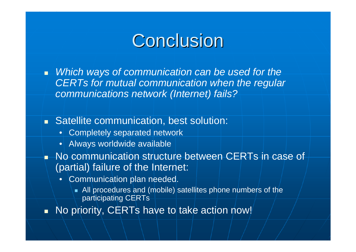### Conclusion

 *Which ways of communication can be used for the CERTs for mutual communication when the regular communications network (Internet) fails?*

### **Satellite communication, best solution:**

- Completely separated network
- Always worldwide available
- No communication structure between CERTs in case of (partial) failure of the Internet:
	- Communication plan needed.
		- All procedures and (mobile) satellites phone numbers of the participating CERTs
- No priority, CERTs have to take action now!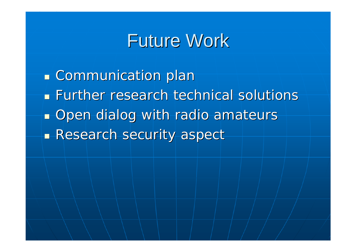### **Future Work**

**E** Communication plan **Further research technical solutions Open dialog with radio amateurs Research security aspect**